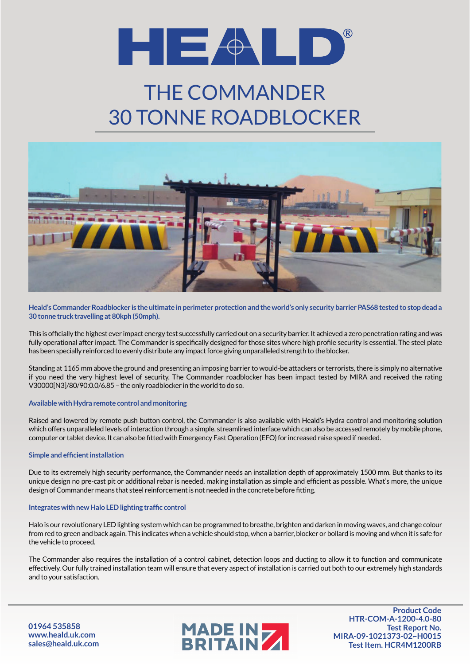

## THE COMMANDER 30 TONNE ROADBLOCKER



**Heald's Commander Roadblocker is the ultimate in perimeter protection and the world's only security barrier PAS68 tested to stop dead a 30 tonne truck travelling at 80kph (50mph).**

This is officially the highest ever impact energy test successfully carried out on a security barrier. It achieved a zero penetration rating and was fully operational after impact. The Commander is specifically designed for those sites where high profile security is essential. The steel plate has been specially reinforced to evenly distribute any impact force giving unparalleled strength to the blocker.

Standing at 1165 mm above the ground and presenting an imposing barrier to would-be attackers or terrorists, there is simply no alternative if you need the very highest level of security. The Commander roadblocker has been impact tested by MIRA and received the rating V30000[N3]/80/90:0.0/6.85 – the only roadblocker in the world to do so.

### **Available with Hydra remote control and monitoring**

Raised and lowered by remote push button control, the Commander is also available with Heald's Hydra control and monitoring solution which offers unparalleled levels of interaction through a simple, streamlined interface which can also be accessed remotely by mobile phone, computer or tablet device. It can also be fitted with Emergency Fast Operation (EFO) for increased raise speed if needed.

#### **Simple and efficient installation**

Due to its extremely high security performance, the Commander needs an installation depth of approximately 1500 mm. But thanks to its unique design no pre-cast pit or additional rebar is needed, making installation as simple and efficient as possible. What's more, the unique design of Commander means that steel reinforcement is not needed in the concrete before fitting.

#### **Integrates with new Halo LED lighting traffic control**

Halo is our revolutionary LED lighting system which can be programmed to breathe, brighten and darken in moving waves, and change colour from red to green and back again. This indicates when a vehicle should stop, when a barrier, blocker or bollard is moving and when it is safe for the vehicle to proceed.

The Commander also requires the installation of a control cabinet, detection loops and ducting to allow it to function and communicate effectively. Our fully trained installation team will ensure that every aspect of installation is carried out both to our extremely high standards and to your satisfaction.

**01964 535858 www.heald.uk.com sales@heald.uk.com**



**Product Code HTR-COM-A-1200-4.0-80 Test Report No. MIRA-09-1021373-02~H0015 Test Item. HCR4M1200RB**